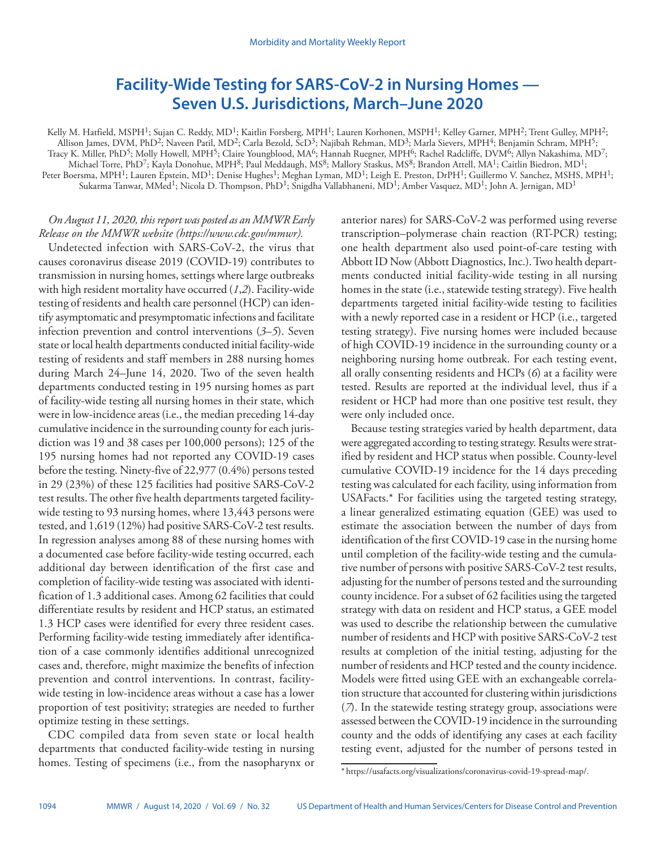# **Facility-Wide Testing for SARS-CoV-2 in Nursing Homes — Seven U.S. Jurisdictions, March–June 2020**

Kelly M. Hatfield, MSPH<sup>1</sup>; Sujan C. Reddy, MD<sup>1</sup>; Kaitlin Forsberg, MPH<sup>1</sup>; Lauren Korhonen, MSPH<sup>1</sup>; Kelley Garner, MPH<sup>2</sup>; Trent Gulley, MPH<sup>2</sup>; Allison James, DVM, PhD2; Naveen Patil, MD2; Carla Bezold, ScD3; Najibah Rehman, MD3; Marla Sievers, MPH4; Benjamin Schram, MPH5; Tracy K. Miller, PhD5; Molly Howell, MPH5; Claire Youngblood, MA6; Hannah Ruegner, MPH6; Rachel Radcliffe, DVM6; Allyn Nakashima, MD7; Michael Torre, PhD7; Kayla Donohue, MPH8; Paul Meddaugh, MS8; Mallory Staskus, MS8; Brandon Attell, MA1; Caitlin Biedron, MD1; Peter Boersma, MPH1; Lauren Epstein, MD1; Denise Hughes1; Meghan Lyman, MD1; Leigh E. Preston, DrPH1; Guillermo V. Sanchez, MSHS, MPH1; Sukarma Tanwar, MMed<sup>1</sup>; Nicola D. Thompson, PhD<sup>1</sup>; Snigdha Vallabhaneni, MD<sup>1</sup>; Amber Vasquez, MD<sup>1</sup>; John A. Jernigan, MD<sup>1</sup>

# *On August 11, 2020, this report was posted as an MMWR Early Release on the MMWR website (<https://www.cdc.gov/mmwr>).*

Undetected infection with SARS-CoV-2, the virus that causes coronavirus disease 2019 (COVID-19) contributes to transmission in nursing homes, settings where large outbreaks with high resident mortality have occurred (*1*,*2*). Facility-wide testing of residents and health care personnel (HCP) can identify asymptomatic and presymptomatic infections and facilitate infection prevention and control interventions (*3*–*5*). Seven state or local health departments conducted initial facility-wide testing of residents and staff members in 288 nursing homes during March 24–June 14, 2020. Two of the seven health departments conducted testing in 195 nursing homes as part of facility-wide testing all nursing homes in their state, which were in low-incidence areas (i.e., the median preceding 14-day cumulative incidence in the surrounding county for each jurisdiction was 19 and 38 cases per 100,000 persons); 125 of the 195 nursing homes had not reported any COVID-19 cases before the testing. Ninety-five of 22,977 (0.4%) persons tested in 29 (23%) of these 125 facilities had positive SARS-CoV-2 test results. The other five health departments targeted facilitywide testing to 93 nursing homes, where 13,443 persons were tested, and 1,619 (12%) had positive SARS-CoV-2 test results. In regression analyses among 88 of these nursing homes with a documented case before facility-wide testing occurred, each additional day between identification of the first case and completion of facility-wide testing was associated with identification of 1.3 additional cases. Among 62 facilities that could differentiate results by resident and HCP status, an estimated 1.3 HCP cases were identified for every three resident cases. Performing facility-wide testing immediately after identification of a case commonly identifies additional unrecognized cases and, therefore, might maximize the benefits of infection prevention and control interventions. In contrast, facilitywide testing in low-incidence areas without a case has a lower proportion of test positivity; strategies are needed to further optimize testing in these settings.

CDC compiled data from seven state or local health departments that conducted facility-wide testing in nursing homes. Testing of specimens (i.e., from the nasopharynx or anterior nares) for SARS-CoV-2 was performed using reverse transcription–polymerase chain reaction (RT-PCR) testing; one health department also used point-of-care testing with Abbott ID Now (Abbott Diagnostics, Inc.). Two health departments conducted initial facility-wide testing in all nursing homes in the state (i.e., statewide testing strategy). Five health departments targeted initial facility-wide testing to facilities with a newly reported case in a resident or HCP (i.e., targeted testing strategy). Five nursing homes were included because of high COVID-19 incidence in the surrounding county or a neighboring nursing home outbreak. For each testing event, all orally consenting residents and HCPs (*6*) at a facility were tested. Results are reported at the individual level, thus if a resident or HCP had more than one positive test result, they were only included once.

Because testing strategies varied by health department, data were aggregated according to testing strategy. Results were stratified by resident and HCP status when possible. County-level cumulative COVID-19 incidence for the 14 days preceding testing was calculated for each facility, using information from USAFacts.\* For facilities using the targeted testing strategy, a linear generalized estimating equation (GEE) was used to estimate the association between the number of days from identification of the first COVID-19 case in the nursing home until completion of the facility-wide testing and the cumulative number of persons with positive SARS-CoV-2 test results, adjusting for the number of persons tested and the surrounding county incidence. For a subset of 62 facilities using the targeted strategy with data on resident and HCP status, a GEE model was used to describe the relationship between the cumulative number of residents and HCP with positive SARS-CoV-2 test results at completion of the initial testing, adjusting for the number of residents and HCP tested and the county incidence. Models were fitted using GEE with an exchangeable correlation structure that accounted for clustering within jurisdictions (*7*). In the statewide testing strategy group, associations were assessed between the COVID-19 incidence in the surrounding county and the odds of identifying any cases at each facility testing event, adjusted for the number of persons tested in

<sup>\*</sup> [https://usafacts.org/visualizations/coronavirus-covid-19-spread-map/.](https://usafacts.org/visualizations/coronavirus-covid-19-spread-map/)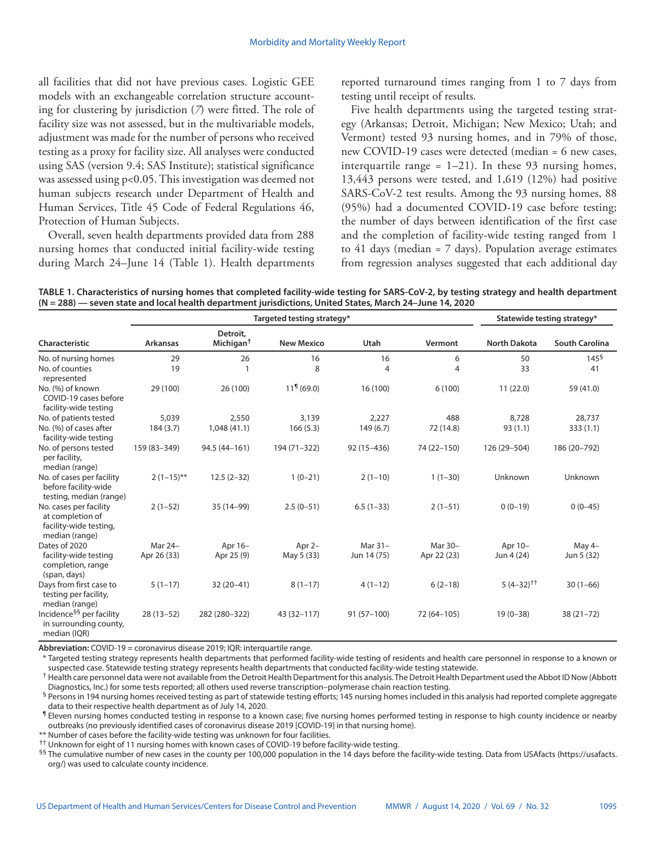all facilities that did not have previous cases. Logistic GEE models with an exchangeable correlation structure accounting for clustering by jurisdiction (*7*) were fitted. The role of facility size was not assessed, but in the multivariable models, adjustment was made for the number of persons who received testing as a proxy for facility size. All analyses were conducted using SAS (version 9.4; SAS Institute); statistical significance was assessed using p<0.05. This investigation was deemed not human subjects research under Department of Health and Human Services, Title 45 Code of Federal Regulations 46, Protection of Human Subjects.

Overall, seven health departments provided data from 288 nursing homes that conducted initial facility-wide testing during March 24–June 14 (Table 1). Health departments reported turnaround times ranging from 1 to 7 days from testing until receipt of results.

Five health departments using the targeted testing strategy (Arkansas; Detroit, Michigan; New Mexico; Utah; and Vermont) tested 93 nursing homes, and in 79% of those, new COVID-19 cases were detected (median = 6 new cases, interquartile range =  $1-21$ ). In these 93 nursing homes, 13,443 persons were tested, and 1,619 (12%) had positive SARS-CoV-2 test results. Among the 93 nursing homes, 88 (95%) had a documented COVID-19 case before testing; the number of days between identification of the first case and the completion of facility-wide testing ranged from 1 to 41 days (median  $= 7$  days). Population average estimates from regression analyses suggested that each additional day

**TABLE 1. Characteristics of nursing homes that completed facility-wide testing for SARS-CoV-2, by testing strategy and health department (N = 288) — seven state and local health department jurisdictions, United States, March 24–June 14, 2020**

|                                                                                        |                 | Targeted testing strategy*        | Statewide testing strategy* |              |             |                     |                       |
|----------------------------------------------------------------------------------------|-----------------|-----------------------------------|-----------------------------|--------------|-------------|---------------------|-----------------------|
| Characteristic                                                                         | <b>Arkansas</b> | Detroit,<br>Michigan <sup>†</sup> | <b>New Mexico</b>           | Utah         | Vermont     | <b>North Dakota</b> | <b>South Carolina</b> |
| No. of nursing homes                                                                   | 29              | 26                                | 16                          | 16           | 6           | 50                  | $145^{\frac{6}{5}}$   |
| No. of counties<br>represented                                                         | 19              |                                   | 8                           | 4            | 4           | 33                  | 41                    |
| No. (%) of known<br>COVID-19 cases before<br>facility-wide testing                     | 29 (100)        | 26 (100)                          | $119$ (69.0)                | 16 (100)     | 6(100)      | 11(22.0)            | 59 (41.0)             |
| No. of patients tested                                                                 | 5,039           | 2,550                             | 3,139                       | 2,227        | 488         | 8,728               | 28,737                |
| No. (%) of cases after<br>facility-wide testing                                        | 184(3.7)        | 1,048(41.1)                       | 166(5.3)                    | 149(6.7)     | 72 (14.8)   | 93(1.1)             | 333(1.1)              |
| No. of persons tested<br>per facility,<br>median (range)                               | 159 (83-349)    | 94.5 (44-161)                     | 194 (71-322)                | 92 (15-436)  | 74 (22-150) | 126 (29-504)        | 186 (20-792)          |
| No. of cases per facility<br>before facility-wide<br>testing, median (range)           | $2(1-15)$ **    | $12.5(2-32)$                      | $1(0-21)$                   | $2(1-10)$    | $1(1-30)$   | Unknown             | Unknown               |
| No. cases per facility<br>at completion of<br>facility-wide testing,<br>median (range) | $2(1-52)$       | 35 (14-99)                        | $2.5(0-51)$                 | $6.5(1-33)$  | $2(1-51)$   | $0(0-19)$           | $0(0-45)$             |
| Dates of 2020                                                                          | Mar 24-         | Apr 16-                           | Apr $2-$                    | Mar 31-      | Mar 30-     | Apr 10-             | May 4-                |
| facility-wide testing<br>completion, range<br>(span, days)                             | Apr 26 (33)     | Apr 25 (9)                        | May 5 (33)                  | Jun 14 (75)  | Apr 22 (23) | Jun 4 (24)          | Jun 5 (32)            |
| Days from first case to<br>testing per facility,<br>median (range)                     | $5(1-17)$       | $32(20-41)$                       | $8(1-17)$                   | $4(1-12)$    | $6(2-18)$   | $5(4-32)^{+}$       | $30(1-66)$            |
| Incidence <sup>§§</sup> per facility<br>in surrounding county,<br>median (IQR)         | $28(13-52)$     | 282 (280-322)                     | 43 (32-117)                 | $91(57-100)$ | 72 (64-105) | $19(0-38)$          | $38(21 - 72)$         |

**Abbreviation:** COVID-19 = coronavirus disease 2019; IQR: interquartile range.

Targeted testing strategy represents health departments that performed facility-wide testing of residents and health care personnel in response to a known or suspected case. Statewide testing strategy represents health departments that conducted facility-wide testing statewide.

† Health care personnel data were not available from the Detroit Health Department for this analysis. The Detroit Health Department used the Abbot ID Now (Abbott Diagnostics, Inc.) for some tests reported; all others used reverse transcription–polymerase chain reaction testing.

§ Persons in 194 nursing homes received testing as part of statewide testing efforts; 145 nursing homes included in this analysis had reported complete aggregate data to their respective health department as of July 14, 2020.

¶ Eleven nursing homes conducted testing in response to a known case; five nursing homes performed testing in response to high county incidence or nearby outbreaks (no previously identified cases of coronavirus disease 2019 [COVID-19] in that nursing home).

\* Number of cases before the facility-wide testing was unknown for four facilities.

†† Unknown for eight of 11 nursing homes with known cases of COVID-19 before facility-wide testing.

§§ The cumulative number of new cases in the county per 100,000 population in the 14 days before the facility-wide testing. Data from USAfacts ([https://usafacts.](https://usafacts.org/) [org/](https://usafacts.org/)) was used to calculate county incidence.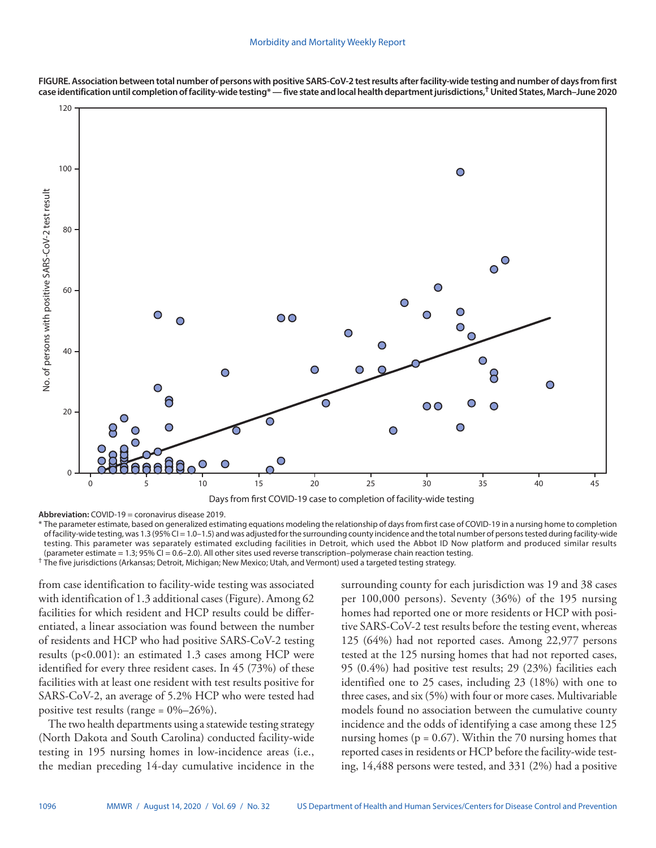

**FIGURE. Association between total number of persons with positive SARS-CoV-2 test results after facility-wide testing and number of days from first case identification until completion of facility-wide testing\* — five state and local health department jurisdictions,† United States, March–June 2020**

**Abbreviation:** COVID-19 = coronavirus disease 2019.

\* The parameter estimate, based on generalized estimating equations modeling the relationship of days from first case of COVID-19 in a nursing home to completion of facility-wide testing, was 1.3 (95% CI = 1.0-1.5) and was adjusted for the surrounding county incidence and the total number of persons tested during facility-wide testing. This parameter was separately estimated excluding facilities in Detroit, which used the Abbot ID Now platform and produced similar results (parameter estimate = 1.3; 95% CI = 0.6–2.0). All other sites used reverse transcription–polymerase chain reaction testing. † The five jurisdictions (Arkansas; Detroit, Michigan; New Mexico; Utah, and Vermont) used a targeted testing strategy.

from case identification to facility-wide testing was associated with identification of 1.3 additional cases (Figure). Among 62 facilities for which resident and HCP results could be differentiated, a linear association was found between the number of residents and HCP who had positive SARS-CoV-2 testing results (p<0.001): an estimated 1.3 cases among HCP were identified for every three resident cases. In 45 (73%) of these facilities with at least one resident with test results positive for SARS-CoV-2, an average of 5.2% HCP who were tested had positive test results (range =  $0\%-26\%$ ).

The two health departments using a statewide testing strategy (North Dakota and South Carolina) conducted facility-wide testing in 195 nursing homes in low-incidence areas (i.e., the median preceding 14-day cumulative incidence in the surrounding county for each jurisdiction was 19 and 38 cases per 100,000 persons). Seventy (36%) of the 195 nursing homes had reported one or more residents or HCP with positive SARS-CoV-2 test results before the testing event, whereas 125 (64%) had not reported cases. Among 22,977 persons tested at the 125 nursing homes that had not reported cases, 95 (0.4%) had positive test results; 29 (23%) facilities each identified one to 25 cases, including 23 (18%) with one to three cases, and six (5%) with four or more cases. Multivariable models found no association between the cumulative county incidence and the odds of identifying a case among these 125 nursing homes ( $p = 0.67$ ). Within the 70 nursing homes that reported cases in residents or HCP before the facility-wide testing, 14,488 persons were tested, and 331 (2%) had a positive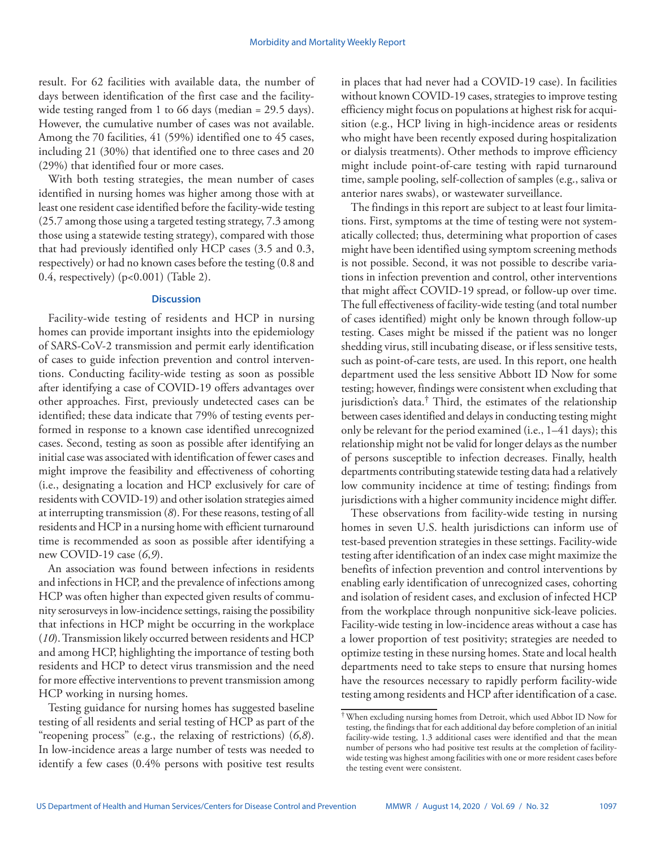result. For 62 facilities with available data, the number of days between identification of the first case and the facilitywide testing ranged from 1 to 66 days (median = 29.5 days). However, the cumulative number of cases was not available. Among the 70 facilities, 41 (59%) identified one to 45 cases, including 21 (30%) that identified one to three cases and 20 (29%) that identified four or more cases.

With both testing strategies, the mean number of cases identified in nursing homes was higher among those with at least one resident case identified before the facility-wide testing (25.7 among those using a targeted testing strategy, 7.3 among those using a statewide testing strategy), compared with those that had previously identified only HCP cases (3.5 and 0.3, respectively) or had no known cases before the testing (0.8 and 0.4, respectively) (p<0.001) (Table 2).

## **Discussion**

Facility-wide testing of residents and HCP in nursing homes can provide important insights into the epidemiology of SARS-CoV-2 transmission and permit early identification of cases to guide infection prevention and control interventions. Conducting facility-wide testing as soon as possible after identifying a case of COVID-19 offers advantages over other approaches. First, previously undetected cases can be identified; these data indicate that 79% of testing events performed in response to a known case identified unrecognized cases. Second, testing as soon as possible after identifying an initial case was associated with identification of fewer cases and might improve the feasibility and effectiveness of cohorting (i.e., designating a location and HCP exclusively for care of residents with COVID-19) and other isolation strategies aimed at interrupting transmission (*8*). For these reasons, testing of all residents and HCP in a nursing home with efficient turnaround time is recommended as soon as possible after identifying a new COVID-19 case (*6*,*9*).

An association was found between infections in residents and infections in HCP, and the prevalence of infections among HCP was often higher than expected given results of community serosurveys in low-incidence settings, raising the possibility that infections in HCP might be occurring in the workplace (*10*). Transmission likely occurred between residents and HCP and among HCP, highlighting the importance of testing both residents and HCP to detect virus transmission and the need for more effective interventions to prevent transmission among HCP working in nursing homes.

Testing guidance for nursing homes has suggested baseline testing of all residents and serial testing of HCP as part of the "reopening process" (e.g., the relaxing of restrictions) (*6*,*8*). In low-incidence areas a large number of tests was needed to identify a few cases (0.4% persons with positive test results in places that had never had a COVID-19 case). In facilities without known COVID-19 cases, strategies to improve testing efficiency might focus on populations at highest risk for acquisition (e.g., HCP living in high-incidence areas or residents who might have been recently exposed during hospitalization or dialysis treatments). Other methods to improve efficiency might include point-of-care testing with rapid turnaround time, sample pooling, self-collection of samples (e.g., saliva or anterior nares swabs), or wastewater surveillance.

The findings in this report are subject to at least four limitations. First, symptoms at the time of testing were not systematically collected; thus, determining what proportion of cases might have been identified using symptom screening methods is not possible. Second, it was not possible to describe variations in infection prevention and control, other interventions that might affect COVID-19 spread, or follow-up over time. The full effectiveness of facility-wide testing (and total number of cases identified) might only be known through follow-up testing. Cases might be missed if the patient was no longer shedding virus, still incubating disease, or if less sensitive tests, such as point-of-care tests, are used. In this report, one health department used the less sensitive Abbott ID Now for some testing; however, findings were consistent when excluding that jurisdiction's data.<sup>†</sup> Third, the estimates of the relationship between cases identified and delays in conducting testing might only be relevant for the period examined (i.e., 1–41 days); this relationship might not be valid for longer delays as the number of persons susceptible to infection decreases. Finally, health departments contributing statewide testing data had a relatively low community incidence at time of testing; findings from jurisdictions with a higher community incidence might differ.

These observations from facility-wide testing in nursing homes in seven U.S. health jurisdictions can inform use of test-based prevention strategies in these settings. Facility-wide testing after identification of an index case might maximize the benefits of infection prevention and control interventions by enabling early identification of unrecognized cases, cohorting and isolation of resident cases, and exclusion of infected HCP from the workplace through nonpunitive sick-leave policies. Facility-wide testing in low-incidence areas without a case has a lower proportion of test positivity; strategies are needed to optimize testing in these nursing homes. State and local health departments need to take steps to ensure that nursing homes have the resources necessary to rapidly perform facility-wide testing among residents and HCP after identification of a case.

<sup>†</sup>When excluding nursing homes from Detroit, which used Abbot ID Now for testing, the findings that for each additional day before completion of an initial facility-wide testing, 1.3 additional cases were identified and that the mean number of persons who had positive test results at the completion of facilitywide testing was highest among facilities with one or more resident cases before the testing event were consistent.